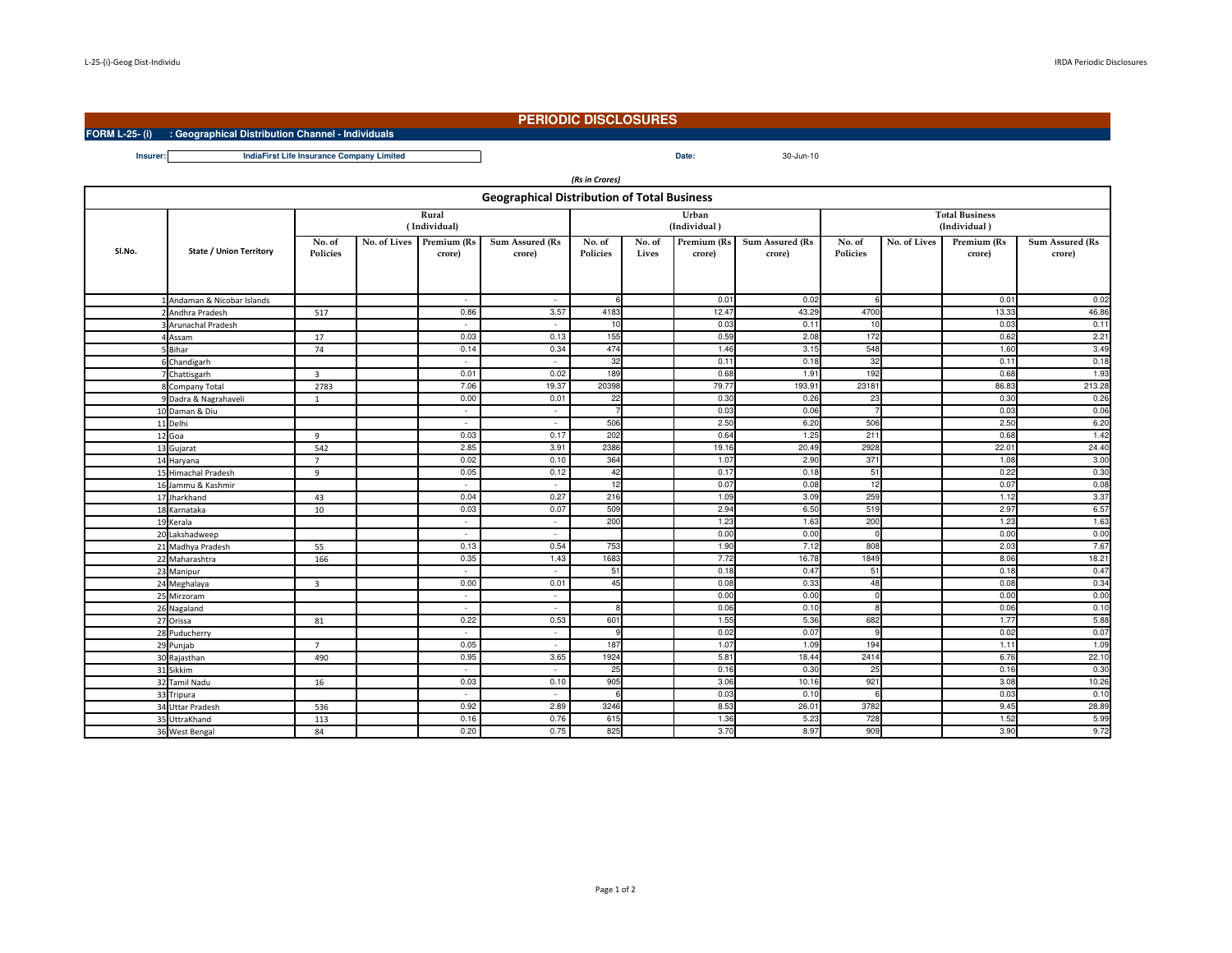**FORM L-25- (i) : Geographical Distribution Channel - Individuals**

## **PERIODIC DISCLOSURES**

Date: 30-Jun-10

**Insurer:Date:IndiaFirst Life Insurance Company Limited**

| (Rs in Crores)                                     |                                |                           |  |                                    |                           |                    |                 |                       |                           |                                       |              |                       |                           |
|----------------------------------------------------|--------------------------------|---------------------------|--|------------------------------------|---------------------------|--------------------|-----------------|-----------------------|---------------------------|---------------------------------------|--------------|-----------------------|---------------------------|
| <b>Geographical Distribution of Total Business</b> |                                |                           |  |                                    |                           |                    |                 |                       |                           |                                       |              |                       |                           |
|                                                    |                                | Rural<br>(Individual)     |  |                                    |                           |                    |                 | Urban<br>(Individual) |                           | <b>Total Business</b><br>(Individual) |              |                       |                           |
| SI.No.                                             | <b>State / Union Territory</b> | No. of<br><b>Policies</b> |  | No. of Lives Premium (Rs<br>crore) | Sum Assured (Rs<br>crore) | No. of<br>Policies | No. of<br>Lives | Premium (Rs<br>crore) | Sum Assured (Rs<br>crore) | No. of<br>Policies                    | No. of Lives | Premium (Rs<br>crore) | Sum Assured (Rs<br>crore) |
|                                                    |                                |                           |  |                                    |                           |                    |                 |                       |                           |                                       |              |                       |                           |
|                                                    | Andaman & Nicobar Islands      |                           |  | $\overline{\phantom{a}}$           | $\sim$                    | $\epsilon$         |                 | 0.01                  | 0.02                      | 6                                     |              | 0.01                  | 0.02                      |
|                                                    | 2 Andhra Pradesh               | 517                       |  | 0.86                               | 3.57                      | 4183               |                 | 12.47                 | 43.29                     | 4700                                  |              | 13.33                 | 46.86                     |
|                                                    | <b>Arunachal Pradesh</b>       |                           |  |                                    | $\sim$                    | 10                 |                 | 0.03                  | 0.1                       | 10                                    |              | 0.03                  | 0.11                      |
|                                                    | 4 Assam                        | 17                        |  | 0.03                               | 0.13                      | 155                |                 | 0.59                  | 2.08                      | 172                                   |              | 0.62                  | 2.21                      |
|                                                    | <b>Bihar</b>                   | 74                        |  | 0.14                               | 0.34                      | 474                |                 | 1.46                  | 3.15                      | 548                                   |              | 1.60                  | 3.49                      |
|                                                    | Chandigarh                     |                           |  |                                    | $\sim$                    | 32                 |                 | 0.11                  | 0.18                      | 32                                    |              | 0.11                  | 0.18                      |
|                                                    | 7 Chattisgarh                  | $\overline{3}$            |  | 0.01                               | 0.02                      | 189                |                 | 0.68                  | 1.91                      | 192                                   |              | 0.68                  | 1.93                      |
|                                                    | 8 Company Total                | 2783                      |  | 7.06                               | 19.37                     | 20398              |                 | 79.77                 | 193.91                    | 23181                                 |              | 86.83                 | 213.28                    |
|                                                    | 9 Dadra & Nagrahaveli          | $\overline{1}$            |  | 0.00                               | 0.01                      | 22                 |                 | 0.30                  | 0.26                      | 23                                    |              | 0.30                  | 0.26                      |
|                                                    | 10 Daman & Diu                 |                           |  | $\overline{\phantom{a}}$           | $\sim$                    |                    |                 | 0.03                  | 0.06                      |                                       |              | 0.03                  | 0.06                      |
|                                                    | 11 Delhi                       |                           |  | $\sim$                             | $\sim$                    | 506                |                 | 2.50                  | 6.20                      | 506                                   |              | 2.50                  | 6.20                      |
|                                                    | 12 Goa                         | $\mathbf{q}$              |  | 0.03                               | 0.17                      | 202                |                 | 0.64                  | 1.25                      | 211                                   |              | 0.68                  | 1.42                      |
|                                                    | 13 Gujarat                     | 542                       |  | 2.85                               | 3.91                      | 2386               |                 | 19.16                 | 20.49                     | 2928                                  |              | 22.01                 | 24.40                     |
|                                                    | 14 Haryana                     | $\overline{7}$            |  | 0.02                               | 0.10                      | 364                |                 | 1.07                  | 2.90                      | 371                                   |              | 1.08                  | 3.00                      |
|                                                    | 15 Himachal Pradesh            | $\mathbf{q}$              |  | 0.05                               | 0.12                      | 42                 |                 | 0.17                  | 0.18                      | 51                                    |              | 0.22                  | 0.30                      |
|                                                    | 16 Jammu & Kashmir             |                           |  | ٠                                  | $\sim$                    | 12                 |                 | 0.07                  | 0.08                      | 12                                    |              | 0.07                  | 0.08                      |
|                                                    | 17 Jharkhand                   | 43                        |  | 0.04                               | 0.27                      | 216                |                 | 1.09                  | 3.09                      | 259                                   |              | 1.12                  | 3.37                      |
|                                                    | 18 Karnataka                   | 10                        |  | 0.03                               | 0.07                      | 509                |                 | 2.94                  | 6.50                      | 519                                   |              | 2.97                  | 6.57                      |
|                                                    | 19 Kerala                      |                           |  | $\sim$                             | $\sim$                    | 200                |                 | 1.23                  | 1.63                      | 200                                   |              | 1.23                  | 1.63                      |
|                                                    | 20 Lakshadweep                 |                           |  | $\sim$                             | $\sim$                    |                    |                 | 0.00                  | 0.00                      | $\Omega$                              |              | 0.00                  | 0.00                      |
|                                                    | 21 Madhya Pradesh              | 55                        |  | 0.13                               | 0.54                      | 753                |                 | 1.90                  | 7.12                      | 808                                   |              | 2.03                  | 7.67                      |
|                                                    | 22 Maharashtra                 | 166                       |  | 0.35                               | 1.43                      | 1683               |                 | 7.72                  | 16.78                     | 1849                                  |              | 8.06                  | 18.21                     |
|                                                    | 23 Manipur                     |                           |  | ٠                                  | $\sim$                    | 51                 |                 | 0.18                  | 0.47                      | 51                                    |              | 0.18                  | 0.47                      |
|                                                    | 24 Meghalaya                   | $\overline{\mathbf{3}}$   |  | 0.00                               | 0.01                      | 45                 |                 | 0.08                  | 0.33                      | 48                                    |              | 0.08                  | 0.34                      |
|                                                    | 25 Mirzoram                    |                           |  |                                    | $\sim$                    |                    |                 | 0.00                  | 0.00                      |                                       |              | 0.00                  | 0.00                      |
|                                                    | 26 Nagaland                    |                           |  | $\sim$                             | $\sim$                    | Я                  |                 | 0.06                  | 0.10                      | 8                                     |              | 0.06                  | 0.10                      |
|                                                    | 27 Orissa                      | 81                        |  | 0.22                               | 0.53                      | 601                |                 | 1.55                  | 5.36                      | 682                                   |              | 1.77                  | 5.88                      |
|                                                    | 28 Puducherry                  |                           |  | $\overline{\phantom{a}}$           | $\sim$                    | C                  |                 | 0.02                  | 0.07                      | Q                                     |              | 0.02                  | 0.07                      |
|                                                    | 29 Punjab                      | $\overline{7}$            |  | 0.05                               | $\sim$                    | 187                |                 | 1.07                  | 1.09                      | 194                                   |              | 1.11                  | 1.09                      |
|                                                    | 30 Rajasthan                   | 490                       |  | 0.95                               | 3.65                      | 1924               |                 | 5.81                  | 18.44                     | 2414                                  |              | 6.76                  | 22.10                     |
|                                                    | 31 Sikkim                      |                           |  | ٠                                  | $\sim$                    | 25                 |                 | 0.16                  | 0.30                      | 25                                    |              | 0.16                  | 0.30                      |
|                                                    | 32 Tamil Nadu                  | 16                        |  | 0.03                               | 0.10                      | 905                |                 | 3.06                  | 10.16                     | 921                                   |              | 3.08                  | 10.26                     |
|                                                    | 33 Tripura                     |                           |  | $\sim$                             | $\sim$                    | -6                 |                 | 0.03                  | 0.10                      | 6                                     |              | 0.03                  | 0.10                      |
|                                                    | 34 Uttar Pradesh               | 536                       |  | 0.92                               | 2.89                      | 3246               |                 | 8.53                  | 26.01                     | 3782                                  |              | 9.45                  | 28.89                     |
|                                                    | 35 UttraKhand                  | 113                       |  | 0.16                               | 0.76                      | 615                |                 | 1.36                  | 5.23                      | 728                                   |              | 1.52                  | 5.99                      |
|                                                    | 36 West Bengal                 | 84                        |  | 0.20                               | 0.75                      | 825                |                 | 3.70                  | 8.97                      | 909                                   |              | 3.90                  | 9.72                      |